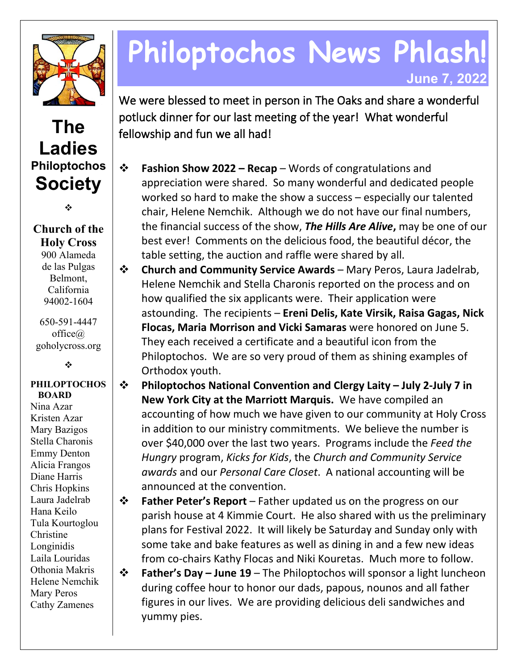

## **The Ladies Philoptochos Society**

❖

### **Church of the Holy Cross** 900 Alameda de las Pulgas

Belmont, California 94002-1604

650-591-4447 office@ goholycross.org

÷

#### **PHILOPTOCHOS BOARD**

Nina Azar Kristen Azar Mary Bazigos Stella Charonis Emmy Denton Alicia Frangos Diane Harris Chris Hopkins Laura Jadelrab Hana Keilo Tula Kourtoglou Christine Longinidis Laila Louridas Othonia Makris Helene Nemchik Mary Peros Cathy Zamenes

# **Philoptochos News Phlash! June 7, 2022**

We were blessed to meet in person in The Oaks and share a wonderful potluck dinner for our last meeting of the year! What wonderful fellowship and fun we all had!

- **Fashion Show 2022 – Recap** Words of congratulations and appreciation were shared. So many wonderful and dedicated people worked so hard to make the show a success – especially our talented chair, Helene Nemchik. Although we do not have our final numbers, the financial success of the show, *The Hills Are Alive***,** may be one of our best ever! Comments on the delicious food, the beautiful décor, the table setting, the auction and raffle were shared by all.
- **Church and Community Service Awards** Mary Peros, Laura Jadelrab, Helene Nemchik and Stella Charonis reported on the process and on how qualified the six applicants were. Their application were astounding. The recipients – **Ereni Delis, Kate Virsik, Raisa Gagas, Nick Flocas, Maria Morrison and Vicki Samaras** were honored on June 5. They each received a certificate and a beautiful icon from the Philoptochos. We are so very proud of them as shining examples of Orthodox youth.
- **Philoptochos National Convention and Clergy Laity – July 2-July 7 in New York City at the Marriott Marquis.** We have compiled an accounting of how much we have given to our community at Holy Cross in addition to our ministry commitments. We believe the number is over \$40,000 over the last two years. Programs include the *Feed the Hungry* program, *Kicks for Kids*, the *Church and Community Service awards* and our *Personal Care Closet*. A national accounting will be announced at the convention.
- **Father Peter's Report** Father updated us on the progress on our parish house at 4 Kimmie Court. He also shared with us the preliminary plans for Festival 2022. It will likely be Saturday and Sunday only with some take and bake features as well as dining in and a few new ideas from co-chairs Kathy Flocas and Niki Kouretas. Much more to follow.

 **Father's Day – June 19** – The Philoptochos will sponsor a light luncheon during coffee hour to honor our dads, papous, nounos and all father figures in our lives. We are providing delicious deli sandwiches and yummy pies.